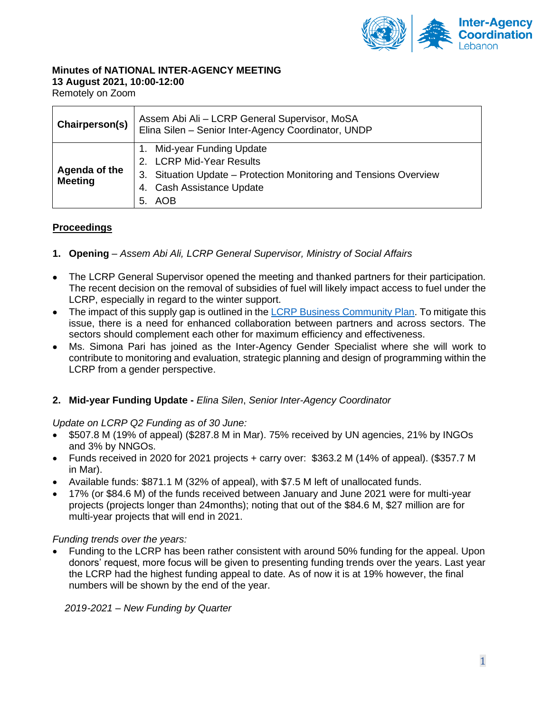

#### **Minutes of NATIONAL INTER-AGENCY MEETING 13 August 2021, 10:00-12:00**

Remotely on Zoom

| Chairperson(s)                  | Assem Abi Ali - LCRP General Supervisor, MoSA<br>Elina Silen - Senior Inter-Agency Coordinator, UNDP                                                            |
|---------------------------------|-----------------------------------------------------------------------------------------------------------------------------------------------------------------|
| Agenda of the<br><b>Meeting</b> | Mid-year Funding Update<br>2. LCRP Mid-Year Results<br>3. Situation Update - Protection Monitoring and Tensions Overview<br>4. Cash Assistance Update<br>5. AOB |

# **Proceedings**

- **1. Opening** *– Assem Abi Ali, LCRP General Supervisor, Ministry of Social Affairs*
- The LCRP General Supervisor opened the meeting and thanked partners for their participation. The recent decision on the removal of subsidies of fuel will likely impact access to fuel under the LCRP, especially in regard to the winter support.
- The impact of this supply gap is outlined in the [LCRP Business Community Plan.](https://www.dropbox.com/sh/htj0ijgn0031xq4/AADTjg_UI1kodufC46UFNiZNa/15.%20LCRP%202021%20Business%20Continuity%20Plan?dl=0&subfolder_nav_tracking=1) To mitigate this issue, there is a need for enhanced collaboration between partners and across sectors. The sectors should complement each other for maximum efficiency and effectiveness.
- Ms. Simona Pari has joined as the Inter-Agency Gender Specialist where she will work to contribute to monitoring and evaluation, strategic planning and design of programming within the LCRP from a gender perspective.

# **2. Mid-year Funding Update -** *Elina Silen*, *Senior Inter-Agency Coordinator*

# *Update on LCRP Q2 Funding as of 30 June:*

- \$507.8 M (19% of appeal) (\$287.8 M in Mar). 75% received by UN agencies, 21% by INGOs and 3% by NNGOs.
- Funds received in 2020 for 2021 projects + carry over: \$363.2 M (14% of appeal). (\$357.7 M in Mar).
- Available funds: \$871.1 M (32% of appeal), with \$7.5 M left of unallocated funds.
- 17% (or \$84.6 M) of the funds received between January and June 2021 were for multi-year projects (projects longer than 24months); noting that out of the \$84.6 M, \$27 million are for multi-year projects that will end in 2021.

# *Funding trends over the years:*

• Funding to the LCRP has been rather consistent with around 50% funding for the appeal. Upon donors' request, more focus will be given to presenting funding trends over the years. Last year the LCRP had the highest funding appeal to date. As of now it is at 19% however, the final numbers will be shown by the end of the year.

*2019-2021 – New Funding by Quarter*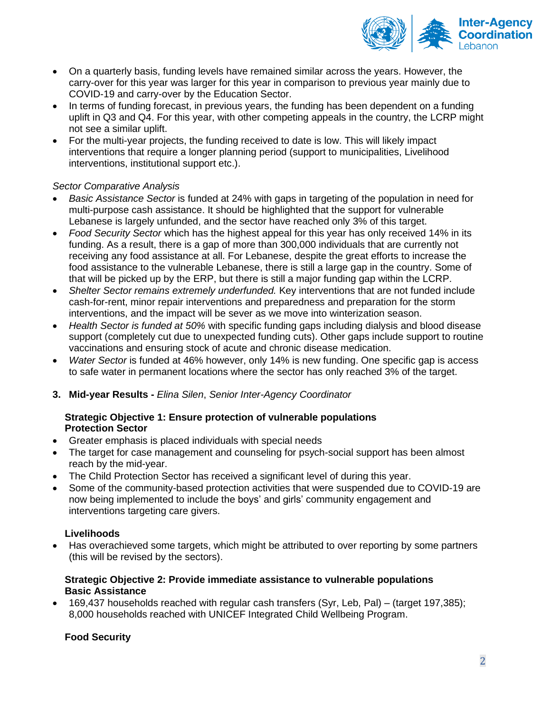

- On a quarterly basis, funding levels have remained similar across the years. However, the carry-over for this year was larger for this year in comparison to previous year mainly due to COVID-19 and carry-over by the Education Sector.
- In terms of funding forecast, in previous years, the funding has been dependent on a funding uplift in Q3 and Q4. For this year, with other competing appeals in the country, the LCRP might not see a similar uplift.
- For the multi-year projects, the funding received to date is low. This will likely impact interventions that require a longer planning period (support to municipalities, Livelihood interventions, institutional support etc.).

# *Sector Comparative Analysis*

- *Basic Assistance Sector* is funded at 24% with gaps in targeting of the population in need for multi-purpose cash assistance. It should be highlighted that the support for vulnerable Lebanese is largely unfunded, and the sector have reached only 3% of this target.
- *Food Security Sector* which has the highest appeal for this year has only received 14% in its funding. As a result, there is a gap of more than 300,000 individuals that are currently not receiving any food assistance at all. For Lebanese, despite the great efforts to increase the food assistance to the vulnerable Lebanese, there is still a large gap in the country. Some of that will be picked up by the ERP, but there is still a major funding gap within the LCRP.
- *Shelter Sector remains extremely underfunded.* Key interventions that are not funded include cash-for-rent, minor repair interventions and preparedness and preparation for the storm interventions, and the impact will be sever as we move into winterization season.
- *Health Sector is funded at 50%* with specific funding gaps including dialysis and blood disease support (completely cut due to unexpected funding cuts). Other gaps include support to routine vaccinations and ensuring stock of acute and chronic disease medication.
- *Water Sector* is funded at 46% however, only 14% is new funding. One specific gap is access to safe water in permanent locations where the sector has only reached 3% of the target.
- **3. Mid-year Results -** *Elina Silen*, *Senior Inter-Agency Coordinator*

# **Strategic Objective 1: Ensure protection of vulnerable populations Protection Sector**

- Greater emphasis is placed individuals with special needs
- The target for case management and counseling for psych-social support has been almost reach by the mid-year.
- The Child Protection Sector has received a significant level of during this year.
- Some of the community-based protection activities that were suspended due to COVID-19 are now being implemented to include the boys' and girls' community engagement and interventions targeting care givers.

# **Livelihoods**

• Has overachieved some targets, which might be attributed to over reporting by some partners (this will be revised by the sectors).

# **Strategic Objective 2: Provide immediate assistance to vulnerable populations Basic Assistance**

• 169,437 households reached with regular cash transfers (Syr, Leb, Pal) – (target 197,385); 8,000 households reached with UNICEF Integrated Child Wellbeing Program.

# **Food Security**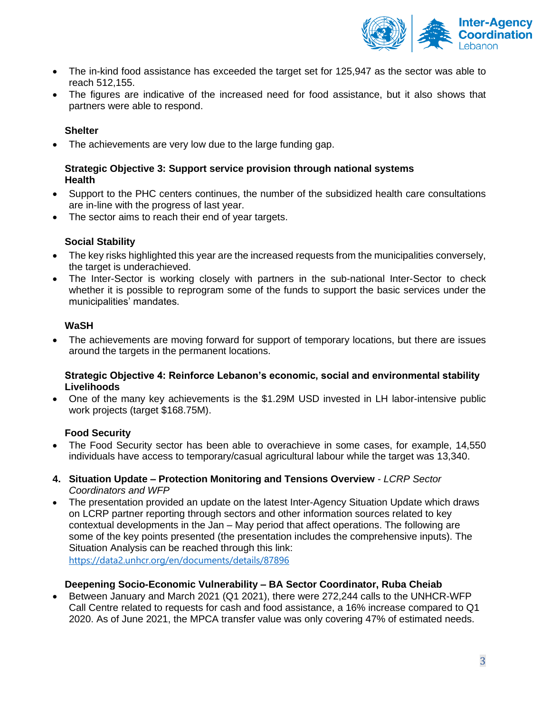

- The in-kind food assistance has exceeded the target set for 125,947 as the sector was able to reach 512,155.
- The figures are indicative of the increased need for food assistance, but it also shows that partners were able to respond.

#### **Shelter**

• The achievements are very low due to the large funding gap.

#### **Strategic Objective 3: Support service provision through national systems Health**

- Support to the PHC centers continues, the number of the subsidized health care consultations are in-line with the progress of last year.
- The sector aims to reach their end of year targets.

#### **Social Stability**

- The key risks highlighted this year are the increased requests from the municipalities conversely, the target is underachieved.
- The Inter-Sector is working closely with partners in the sub-national Inter-Sector to check whether it is possible to reprogram some of the funds to support the basic services under the municipalities' mandates.

# **WaSH**

• The achievements are moving forward for support of temporary locations, but there are issues around the targets in the permanent locations.

#### **Strategic Objective 4: Reinforce Lebanon's economic, social and environmental stability Livelihoods**

• One of the many key achievements is the \$1.29M USD invested in LH labor-intensive public work projects (target \$168.75M).

#### **Food Security**

- The Food Security sector has been able to overachieve in some cases, for example, 14,550 individuals have access to temporary/casual agricultural labour while the target was 13,340.
- **4. Situation Update – Protection Monitoring and Tensions Overview** *- LCRP Sector Coordinators and WFP*
- The presentation provided an update on the latest Inter-Agency Situation Update which draws on LCRP partner reporting through sectors and other information sources related to key contextual developments in the Jan – May period that affect operations. The following are some of the key points presented (the presentation includes the comprehensive inputs). The Situation Analysis can be reached through this link:

<https://data2.unhcr.org/en/documents/details/87896>

#### **Deepening Socio-Economic Vulnerability – BA Sector Coordinator, Ruba Cheiab**

• Between January and March 2021 (Q1 2021), there were 272,244 calls to the UNHCR-WFP Call Centre related to requests for cash and food assistance, a 16% increase compared to Q1 2020. As of June 2021, the MPCA transfer value was only covering 47% of estimated needs.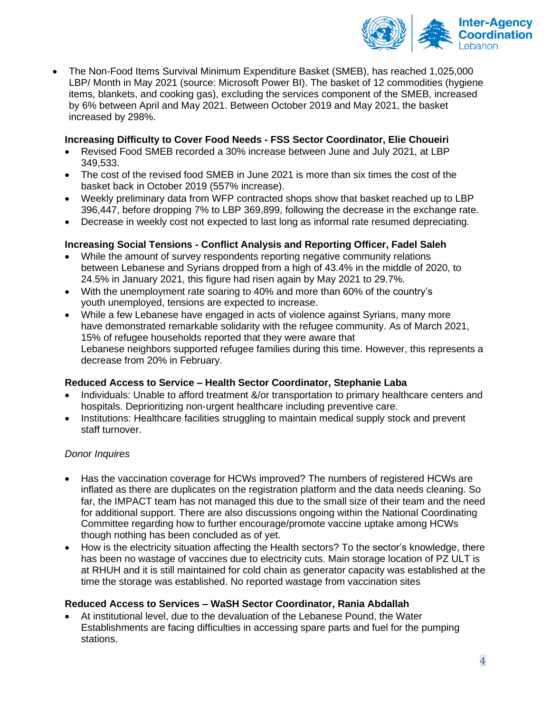

• The Non-Food Items Survival Minimum Expenditure Basket (SMEB), has reached 1,025,000 LBP/ Month in May 2021 (source: Microsoft Power BI). The basket of 12 commodities (hygiene items, blankets, and cooking gas), excluding the services component of the SMEB, increased by 6% between April and May 2021. Between October 2019 and May 2021, the basket increased by 298%.

# **Increasing Difficulty to Cover Food Needs - FSS Sector Coordinator, Elie Choueiri**

- Revised Food SMEB recorded a 30% increase between June and July 2021, at LBP 349,533.
- The cost of the revised food SMEB in June 2021 is more than six times the cost of the basket back in October 2019 (557% increase).
- Weekly preliminary data from WFP contracted shops show that basket reached up to LBP 396,447, before dropping 7% to LBP 369,899, following the decrease in the exchange rate.
- Decrease in weekly cost not expected to last long as informal rate resumed depreciating.

# **Increasing Social Tensions - Conflict Analysis and Reporting Officer, Fadel Saleh**

- While the amount of survey respondents reporting negative community relations between Lebanese and Syrians dropped from a high of 43.4% in the middle of 2020, to 24.5% in January 2021, this figure had risen again by May 2021 to 29.7%.
- With the unemployment rate soaring to 40% and more than 60% of the country's youth unemployed, tensions are expected to increase.
- While a few Lebanese have engaged in acts of violence against Syrians, many more have demonstrated remarkable solidarity with the refugee community. As of March 2021, 15% of refugee households reported that they were aware that Lebanese neighbors supported refugee families during this time. However, this represents a decrease from 20% in February.

# **Reduced Access to Service – Health Sector Coordinator, Stephanie Laba**

- Individuals: Unable to afford treatment &/or transportation to primary healthcare centers and hospitals. Deprioritizing non-urgent healthcare including preventive care.
- Institutions: Healthcare facilities struggling to maintain medical supply stock and prevent staff turnover.

# *Donor Inquires*

- Has the vaccination coverage for HCWs improved? The numbers of registered HCWs are inflated as there are duplicates on the registration platform and the data needs cleaning. So far, the IMPACT team has not managed this due to the small size of their team and the need for additional support. There are also discussions ongoing within the National Coordinating Committee regarding how to further encourage/promote vaccine uptake among HCWs though nothing has been concluded as of yet.
- How is the electricity situation affecting the Health sectors? To the sector's knowledge, there has been no wastage of vaccines due to electricity cuts. Main storage location of PZ ULT is at RHUH and it is still maintained for cold chain as generator capacity was established at the time the storage was established. No reported wastage from vaccination sites

# **Reduced Access to Services – WaSH Sector Coordinator, Rania Abdallah**

• At institutional level, due to the devaluation of the Lebanese Pound, the Water Establishments are facing difficulties in accessing spare parts and fuel for the pumping stations.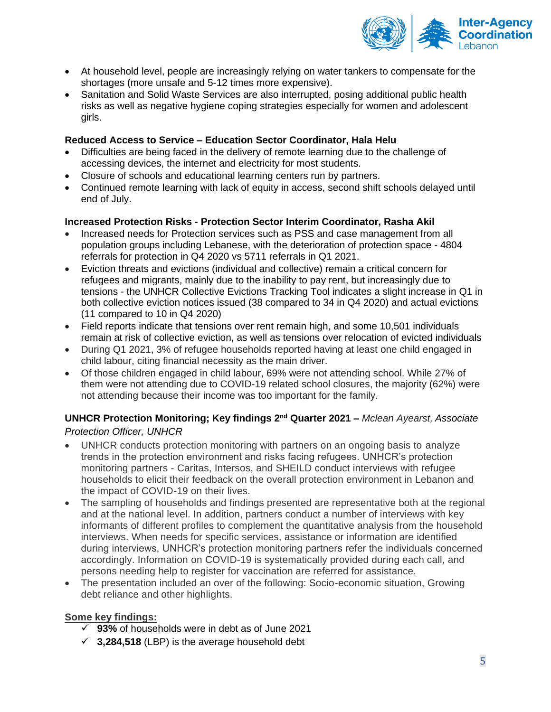

- At household level, people are increasingly relying on water tankers to compensate for the shortages (more unsafe and 5-12 times more expensive).
- Sanitation and Solid Waste Services are also interrupted, posing additional public health risks as well as negative hygiene coping strategies especially for women and adolescent girls.

# **Reduced Access to Service – Education Sector Coordinator, Hala Helu**

- Difficulties are being faced in the delivery of remote learning due to the challenge of accessing devices, the internet and electricity for most students.
- Closure of schools and educational learning centers run by partners.
- Continued remote learning with lack of equity in access, second shift schools delayed until end of July.

#### **Increased Protection Risks - Protection Sector Interim Coordinator, Rasha Akil**

- Increased needs for Protection services such as PSS and case management from all population groups including Lebanese, with the deterioration of protection space - 4804 referrals for protection in Q4 2020 vs 5711 referrals in Q1 2021.
- Eviction threats and evictions (individual and collective) remain a critical concern for refugees and migrants, mainly due to the inability to pay rent, but increasingly due to tensions - the UNHCR Collective Evictions Tracking Tool indicates a slight increase in Q1 in both collective eviction notices issued (38 compared to 34 in Q4 2020) and actual evictions (11 compared to 10 in Q4 2020)
- Field reports indicate that tensions over rent remain high, and some 10,501 individuals remain at risk of collective eviction, as well as tensions over relocation of evicted individuals
- During Q1 2021, 3% of refugee households reported having at least one child engaged in child labour, citing financial necessity as the main driver.
- Of those children engaged in child labour, 69% were not attending school. While 27% of them were not attending due to COVID-19 related school closures, the majority (62%) were not attending because their income was too important for the family.

# **UNHCR Protection Monitoring; Key findings 2nd Quarter 2021 –** *Mclean Ayearst, Associate Protection Officer, UNHCR*

- UNHCR conducts protection monitoring with partners on an ongoing basis to analyze trends in the protection environment and risks facing refugees. UNHCR's protection monitoring partners - Caritas, Intersos, and SHEILD conduct interviews with refugee households to elicit their feedback on the overall protection environment in Lebanon and the impact of COVID-19 on their lives.
- The sampling of households and findings presented are representative both at the regional and at the national level. In addition, partners conduct a number of interviews with key informants of different profiles to complement the quantitative analysis from the household interviews. When needs for specific services, assistance or information are identified during interviews, UNHCR's protection monitoring partners refer the individuals concerned accordingly. Information on COVID-19 is systematically provided during each call, and persons needing help to register for vaccination are referred for assistance.
- The presentation included an over of the following: Socio-economic situation, Growing debt reliance and other highlights.

# **Some key findings:**

- ✓ **93%** of households were in debt as of June 2021
- ✓ **3,284,518** (LBP) is the average household debt